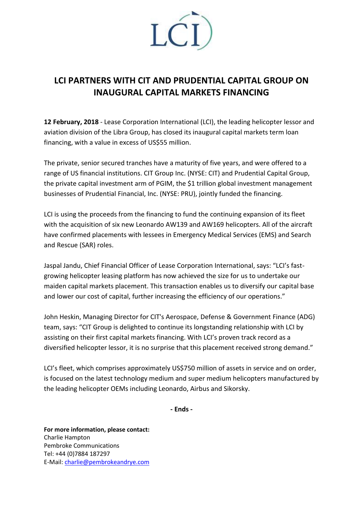

## **LCI PARTNERS WITH CIT AND PRUDENTIAL CAPITAL GROUP ON INAUGURAL CAPITAL MARKETS FINANCING**

**12 February, 2018** - Lease Corporation International (LCI), the leading helicopter lessor and aviation division of the Libra Group, has closed its inaugural capital markets term loan financing, with a value in excess of US\$55 million.

The private, senior secured tranches have a maturity of five years, and were offered to a range of US financial institutions. CIT Group Inc. (NYSE: CIT) and Prudential Capital Group, the private capital investment arm of PGIM, the \$1 trillion global investment management businesses of Prudential Financial, Inc. (NYSE: PRU), jointly funded the financing.

LCI is using the proceeds from the financing to fund the continuing expansion of its fleet with the acquisition of six new Leonardo AW139 and AW169 helicopters. All of the aircraft have confirmed placements with lessees in Emergency Medical Services (EMS) and Search and Rescue (SAR) roles.

Jaspal Jandu, Chief Financial Officer of Lease Corporation International, says: "LCI's fastgrowing helicopter leasing platform has now achieved the size for us to undertake our maiden capital markets placement. This transaction enables us to diversify our capital base and lower our cost of capital, further increasing the efficiency of our operations."

John Heskin, Managing Director for CIT's Aerospace, Defense & Government Finance (ADG) team, says: "CIT Group is delighted to continue its longstanding relationship with LCI by assisting on their first capital markets financing. With LCI's proven track record as a diversified helicopter lessor, it is no surprise that this placement received strong demand."

LCI's fleet, which comprises approximately US\$750 million of assets in service and on order, is focused on the latest technology medium and super medium helicopters manufactured by the leading helicopter OEMs including Leonardo, Airbus and Sikorsky.

**- Ends -**

**For more information, please contact:** Charlie Hampton Pembroke Communications Tel: +44 (0)7884 187297 E-Mail: [charlie@pembrokeandrye.com](mailto:charlie@pembrokeandrye.com)